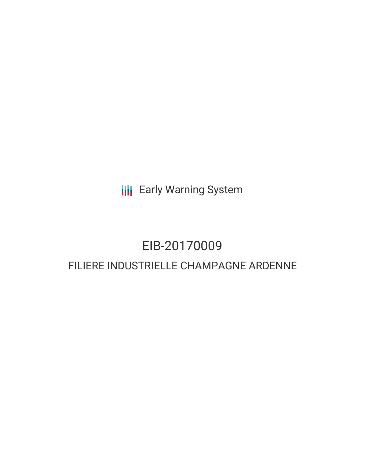**III** Early Warning System

# EIB-20170009 FILIERE INDUSTRIELLE CHAMPAGNE ARDENNE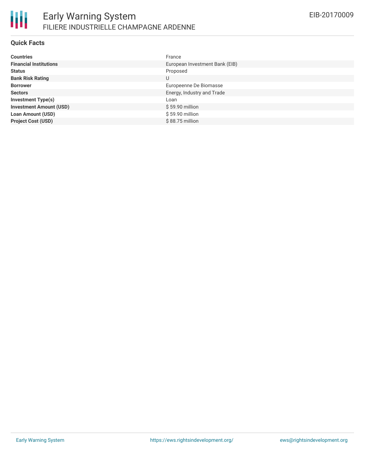

#### **Quick Facts**

| <b>Countries</b>               | France                         |
|--------------------------------|--------------------------------|
| <b>Financial Institutions</b>  | European Investment Bank (EIB) |
| <b>Status</b>                  | Proposed                       |
| <b>Bank Risk Rating</b>        | U                              |
| <b>Borrower</b>                | Europeenne De Biomasse         |
| <b>Sectors</b>                 | Energy, Industry and Trade     |
| <b>Investment Type(s)</b>      | Loan                           |
| <b>Investment Amount (USD)</b> | \$59.90 million                |
| <b>Loan Amount (USD)</b>       | \$59.90 million                |
| <b>Project Cost (USD)</b>      | $$88.75$ million               |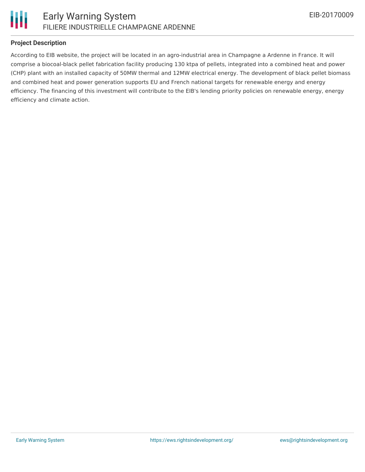

#### **Project Description**

According to EIB website, the project will be located in an agro-industrial area in Champagne a Ardenne in France. It will comprise a biocoal-black pellet fabrication facility producing 130 ktpa of pellets, integrated into a combined heat and power (CHP) plant with an installed capacity of 50MW thermal and 12MW electrical energy. The development of black pellet biomass and combined heat and power generation supports EU and French national targets for renewable energy and energy efficiency. The financing of this investment will contribute to the EIB's lending priority policies on renewable energy, energy efficiency and climate action.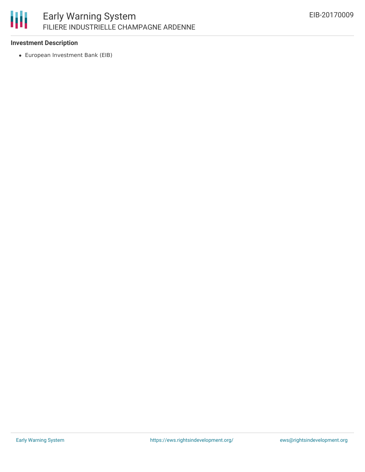#### 冊 Early Warning System FILIERE INDUSTRIELLE CHAMPAGNE ARDENNE

#### **Investment Description**

European Investment Bank (EIB)